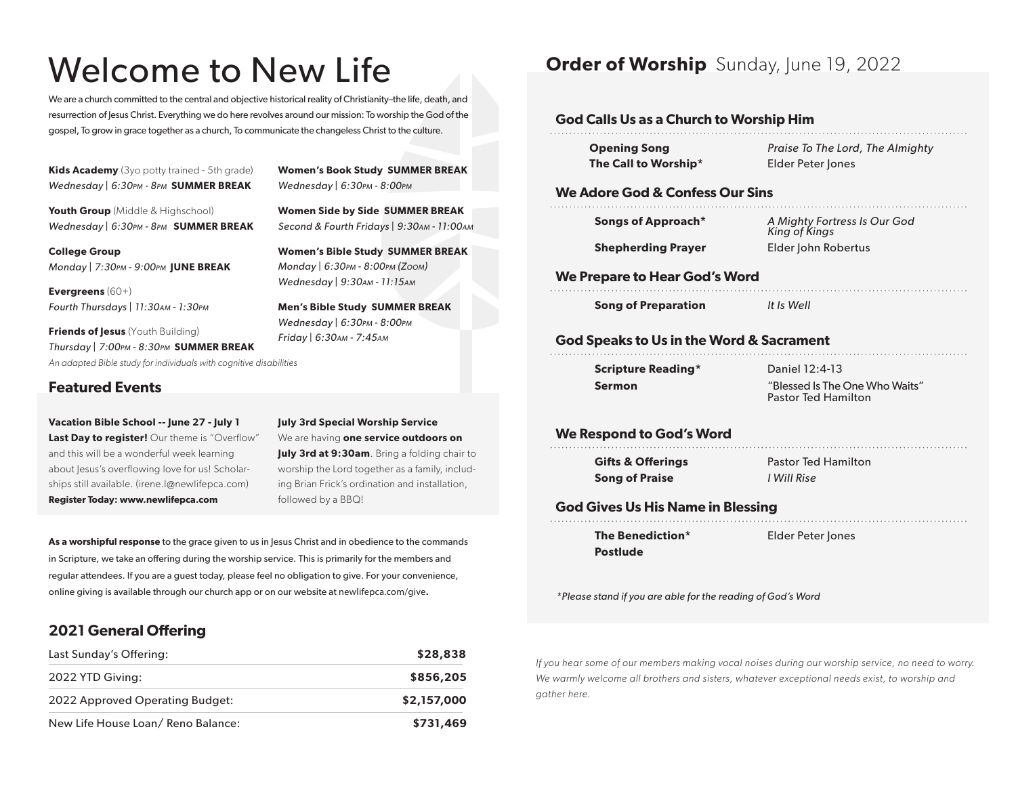# Welcome to New Life

We are a church committed to the central and objective historical reality of Christianity–the life, death, and resurrection of Jesus Christ. Everything we do here revolves around our mission: To worship the God of the gospel, To grow in grace together as a church, To communicate the changeless Christ to the culture.

**Kids Academy** (3yo potty trained - 5th grade) *Wednesday | 6:30pm - 8pm* **SUMMER BREAK**

**Youth Group** (Middle & Highschool) *Wednesday | 6:30pm - 8pm* **SUMMER BREAK**

**College Group** *Monday | 7:30pm - 9:00pm* **JUNE BREAK**

**Evergreens** (60+) *Fourth Thursdays | 11:30am - 1:30pm*

*An adapted Bible study for individuals with cognitive disabilities Wednesday | 6:30pm - 8:00pm Friday | 6:30am - 7:45am* **Friends of Jesus** (Youth Building) *Thursday | 7:00pm - 8:30pm* **SUMMER BREAK**

### **Featured Events**

**Vacation Bible School -- June 27 - July 1** Last Day to register! Our theme is "Overflow" and this will be a wonderful week learning about Jesus's overflowing love for us! Scholarships still available. (irene.l@newlifepca.com) **Register Today: www.newlifepca.com**

**July 3rd Special Worship Service** We are having **one service outdoors on July 3rd at 9:30am**. Bring a folding chair to worship the Lord together as a family, including Brian Frick's ordination and installation, followed by a BBQ!

**Men's Bible Study SUMMER BREAK** 

**Women's Book Study SUMMER BREAK**

**Women Side by Side SUMMER BREAK** *Second & Fourth Fridays | 9:30am - 11:00am* **Women's Bible Study SUMMER BREAK** *Monday | 6:30pm - 8:00pm (Zoom) Wednesday | 9:30am - 11:15am*

*Wednesday | 6:30pm - 8:00pm*

**As a worshipful response** to the grace given to us in Jesus Christ and in obedience to the commands in Scripture, we take an offering during the worship service. This is primarily for the members and regular attendees. If you are a guest today, please feel no obligation to give. For your convenience, online giving is available through our church app or on our website at newlifepca.com/give**.**

## **2021 General Offering**

| Last Sunday's Offering:           | \$28,838    |
|-----------------------------------|-------------|
| 2022 YTD Giving:                  | \$856,205   |
| 2022 Approved Operating Budget:   | \$2,157,000 |
| New Life House Loan/Reno Balance: | \$731,469   |

**Order of Worship** Sunday, June 19, 2022

#### **God Calls Us as a Church to Worship Him**

| <b>Opening Song</b>          | Praise To The Lord, The Almighty |
|------------------------------|----------------------------------|
| The Call to Worship $^\star$ | Elder Peter Jones                |

#### **We Adore God & Confess Our Sins**

| Songs of Approach*        | A Mighty F<br>King of Kin |
|---------------------------|---------------------------|
| <b>Shepherding Prayer</b> | Elder John                |

*A Mighty Fortress Is Our God King of Kings* **Robertus** 

#### **We Prepare to Hear God's Word**

**Song of Preparation** *It Is Well*

# **God Speaks to Us in the Word & Sacrament**

| <b>Scripture Reading*</b> |  |
|---------------------------|--|
| Sermon                    |  |

Daniel 12:4-13 "Blessed Is The One Who Waits" Pastor Ted Hamilton

#### **We Respond to God's Word**

**Gifts & Offerings Song of Praise**

Pastor Ted Hamilton *I Will Rise*

### **God Gives Us His Name in Blessing**

**The Benediction\* Postlude**

Elder Peter Jones

*\*Please stand if you are able for the reading of God's Word*

*If you hear some of our members making vocal noises during our worship service, no need to worry. We warmly welcome all brothers and sisters, whatever exceptional needs exist, to worship and gather here.*